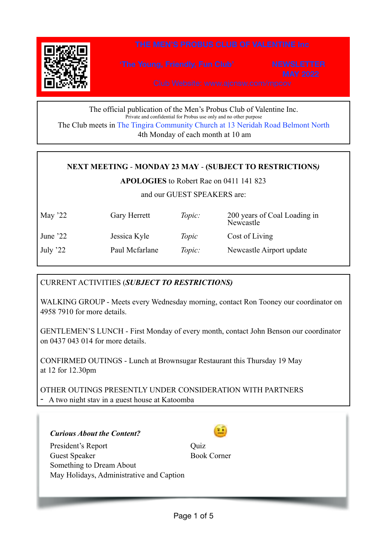

The official publication of the Men's Probus Club of Valentine Inc. Private and confidential for Probus use only and no other purpose The Club meets in The Tingira Community Church at 13 Neridah Road Belmont North 4th Monday of each month at 10 am

## **NEXT MEETING** - **MONDAY 23 MAY** - **(SUBJECT TO RESTRICTIONS***)*

**APOLOGIES** to Robert Rae on 0411 141 823

and our GUEST SPEAKERS are:

| May $22$  | Gary Herrett   | Topic: | 200 years of Coal Loading in<br>Newcastle |
|-----------|----------------|--------|-------------------------------------------|
| June $22$ | Jessica Kyle   | Topic  | Cost of Living                            |
| July '22  | Paul Mcfarlane | Topic: | Newcastle Airport update                  |

## CURRENT ACTIVITIES (*SUBJECT TO RESTRICTIONS)*

WALKING GROUP - Meets every Wednesday morning, contact Ron Tooney our coordinator on 4958 7910 for more details.

GENTLEMEN'S LUNCH - First Monday of every month, contact John Benson our coordinator on 0437 043 014 for more details.

CONFIRMED OUTINGS - Lunch at Brownsugar Restaurant this Thursday 19 May at 12 for 12.30pm

OTHER OUTINGS PRESENTLY UNDER CONSIDERATION WITH PARTNERS - A two night stay in a guest house at Katoomba

*Curious About the Content?* 

President's Report Quiz Guest Speaker Book Corner Something to Dream About May Holidays, Administrative and Caption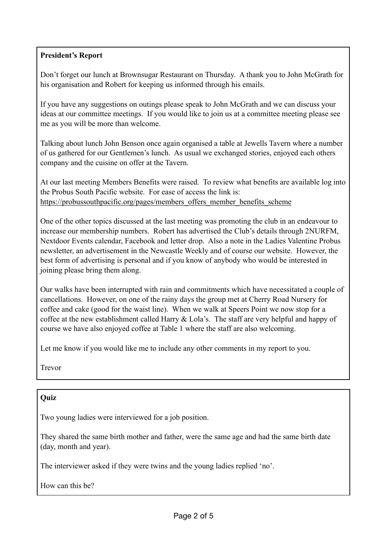## **President's Report**

Don't forget our lunch at Brownsugar Restaurant on Thursday. A thank you to John McGrath for his organisation and Robert for keeping us informed through his emails.

If you have any suggestions on outings please speak to John McGrath and we can discuss your ideas at our committee meetings. If you would like to join us at a committee meeting please see me as you will be more than welcome.

Talking about lunch John Benson once again organised a table at Jewells Tavern where a number of us gathered for our Gentlemen's lunch. As usual we exchanged stories, enjoyed each others company and the cuisine on offer at the Tavern.

At our last meeting Members Benefits were raised. To review what benefits are available log into the Probus South Pacific website. For ease of access the link is: https://probussouthpacific.org/pages/members offers member benefits scheme

One of the other topics discussed at the last meeting was promoting the club in an endeavour to increase our membership numbers. Robert has advertised the Club's details through 2NURFM, Nextdoor Events calendar, Facebook and letter drop. Also a note in the Ladies Valentine Probus newsletter, an advertisement in the Newcastle Weekly and of course our website. However, the best form of advertising is personal and if you know of anybody who would be interested in joining please bring them along.

Our walks have been interrupted with rain and commitments which have necessitated a couple of cancellations. However, on one of the rainy days the group met at Cherry Road Nursery for coffee and cake (good for the waist line). When we walk at Speers Point we now stop for a coffee at the new establishment called Harry & Lola's. The staff are very helpful and happy of course we have also enjoyed coffee at Table 1 where the staff are also welcoming.

Let me know if you would like me to include any other comments in my report to you.

Trevor

## **Quiz**

Two young ladies were interviewed for a job position.

They shared the same birth mother and father, were the same age and had the same birth date (day, month and year).

The interviewer asked if they were twins and the young ladies replied 'no'.

How can this be?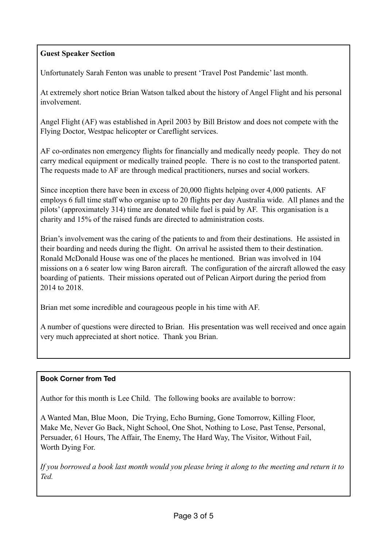## **Guest Speaker Section**

Unfortunately Sarah Fenton was unable to present 'Travel Post Pandemic' last month.

At extremely short notice Brian Watson talked about the history of Angel Flight and his personal involvement.

Angel Flight (AF) was established in April 2003 by Bill Bristow and does not compete with the Flying Doctor, Westpac helicopter or Careflight services.

AF co-ordinates non emergency flights for financially and medically needy people. They do not carry medical equipment or medically trained people. There is no cost to the transported patent. The requests made to AF are through medical practitioners, nurses and social workers.

Since inception there have been in excess of 20,000 flights helping over 4,000 patients. AF employs 6 full time staff who organise up to 20 flights per day Australia wide. All planes and the pilots' (approximately 314) time are donated while fuel is paid by AF. This organisation is a charity and 15% of the raised funds are directed to administration costs.

Brian's involvement was the caring of the patients to and from their destinations. He assisted in their boarding and needs during the flight. On arrival he assisted them to their destination. Ronald McDonald House was one of the places he mentioned. Brian was involved in 104 missions on a 6 seater low wing Baron aircraft. The configuration of the aircraft allowed the easy boarding of patients. Their missions operated out of Pelican Airport during the period from 2014 to 2018.

Brian met some incredible and courageous people in his time with AF.

A number of questions were directed to Brian. His presentation was well received and once again very much appreciated at short notice. Thank you Brian.

## **Book Corner from Ted**

Author for this month is Lee Child. The following books are available to borrow:

A Wanted Man, Blue Moon, Die Trying, Echo Burning, Gone Tomorrow, Killing Floor, Make Me, Never Go Back, Night School, One Shot, Nothing to Lose, Past Tense, Personal, Persuader, 61 Hours, The Affair, The Enemy, The Hard Way, The Visitor, Without Fail, Worth Dying For.

*If you borrowed a book last month would you please bring it along to the meeting and return it to Ted.*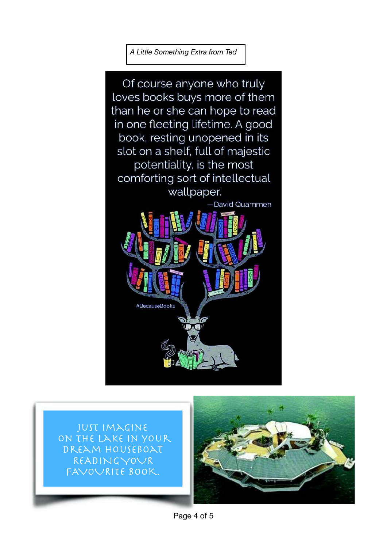*A Little Something Extra from Ted*



Just imagine on the lake in your dream houseboat READING YOUR FAVOURITE BOOK.



Page 4 of 5